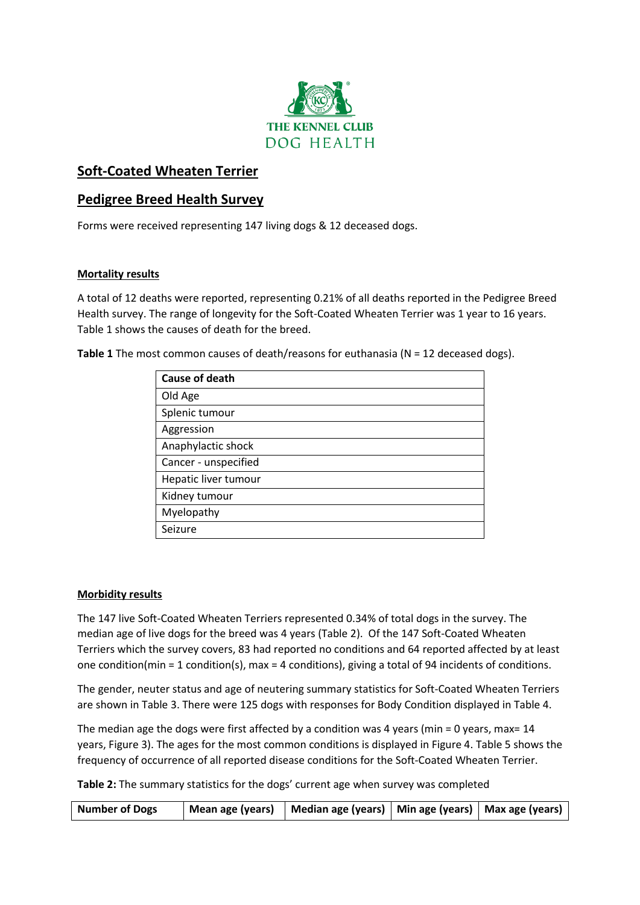

# **Soft-Coated Wheaten Terrier**

## **Pedigree Breed Health Survey**

Forms were received representing 147 living dogs & 12 deceased dogs.

#### **Mortality results**

A total of 12 deaths were reported, representing 0.21% of all deaths reported in the Pedigree Breed Health survey. The range of longevity for the Soft-Coated Wheaten Terrier was 1 year to 16 years. Table 1 shows the causes of death for the breed.

**Table 1** The most common causes of death/reasons for euthanasia (N = 12 deceased dogs).

| <b>Cause of death</b> |
|-----------------------|
| Old Age               |
| Splenic tumour        |
| Aggression            |
| Anaphylactic shock    |
| Cancer - unspecified  |
| Hepatic liver tumour  |
| Kidney tumour         |
| Myelopathy            |
| Seizure               |

#### **Morbidity results**

The 147 live Soft-Coated Wheaten Terriers represented 0.34% of total dogs in the survey. The median age of live dogs for the breed was 4 years (Table 2). Of the 147 Soft-Coated Wheaten Terriers which the survey covers, 83 had reported no conditions and 64 reported affected by at least one condition(min = 1 condition(s), max = 4 conditions), giving a total of 94 incidents of conditions.

The gender, neuter status and age of neutering summary statistics for Soft-Coated Wheaten Terriers are shown in Table 3. There were 125 dogs with responses for Body Condition displayed in Table 4.

The median age the dogs were first affected by a condition was 4 years (min = 0 years, max=  $14$ years, Figure 3). The ages for the most common conditions is displayed in Figure 4. Table 5 shows the frequency of occurrence of all reported disease conditions for the Soft-Coated Wheaten Terrier.

**Table 2:** The summary statistics for the dogs' current age when survey was completed

| <b>Number of Dogs</b> |  | Mean age (years)   Median age (years)   Min age (years)   Max age (years) |  |  |
|-----------------------|--|---------------------------------------------------------------------------|--|--|
|-----------------------|--|---------------------------------------------------------------------------|--|--|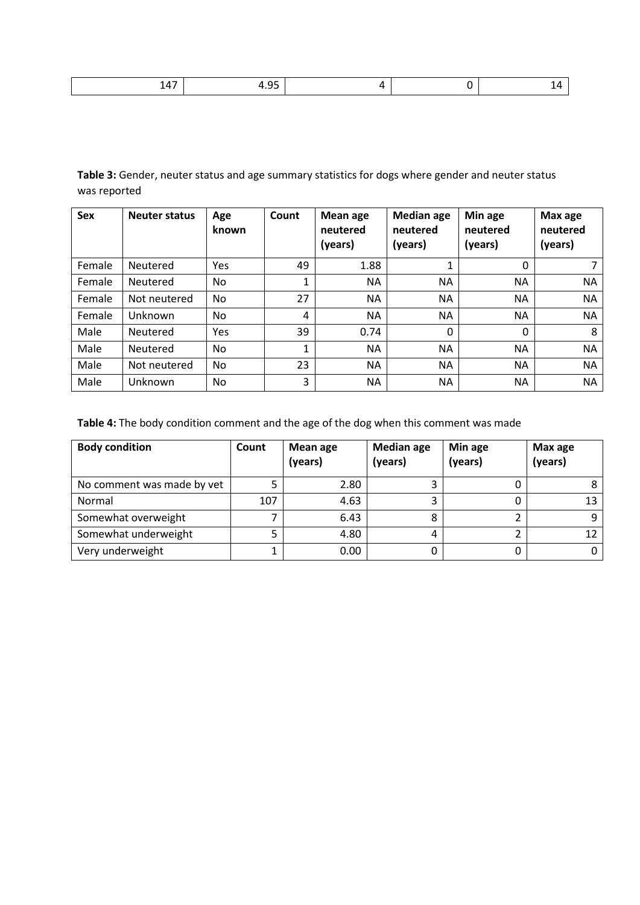|  |  | $\sim$ $\sim$<br>. .<br>__ |  |  |  |
|--|--|----------------------------|--|--|--|
|--|--|----------------------------|--|--|--|

**Table 3:** Gender, neuter status and age summary statistics for dogs where gender and neuter status was reported

| <b>Sex</b> | <b>Neuter status</b> | Age<br>known | Count          | Mean age<br>neutered<br>(years) | <b>Median age</b><br>neutered<br>(years) | Min age<br>neutered<br>(years) | Max age<br>neutered<br>(years) |
|------------|----------------------|--------------|----------------|---------------------------------|------------------------------------------|--------------------------------|--------------------------------|
| Female     | Neutered             | Yes          | 49             | 1.88                            |                                          | 0                              |                                |
| Female     | Neutered             | No.          |                | <b>NA</b>                       | <b>NA</b>                                | NA                             | <b>NA</b>                      |
| Female     | Not neutered         | No.          | 27             | <b>NA</b>                       | <b>NA</b>                                | NA                             | <b>NA</b>                      |
| Female     | Unknown              | No.          | $\overline{4}$ | <b>NA</b>                       | <b>NA</b>                                | NA                             | <b>NA</b>                      |
| Male       | Neutered             | Yes          | 39             | 0.74                            | 0                                        | 0                              | 8                              |
| Male       | Neutered             | No.          | 1              | <b>NA</b>                       | NА                                       | NA                             | <b>NA</b>                      |
| Male       | Not neutered         | No.          | 23             | <b>NA</b>                       | <b>NA</b>                                | NA                             | <b>NA</b>                      |
| Male       | Unknown              | No.          | 3              | NA.                             | <b>NA</b>                                | NA                             | <b>NA</b>                      |

**Table 4:** The body condition comment and the age of the dog when this comment was made

| <b>Body condition</b>      | Count | Mean age<br>(years) | <b>Median age</b><br>(years) | Min age<br>(years) | Max age<br>(years) |
|----------------------------|-------|---------------------|------------------------------|--------------------|--------------------|
| No comment was made by vet |       | 2.80                |                              |                    |                    |
| Normal                     | 107   | 4.63                |                              |                    | 13                 |
| Somewhat overweight        |       | 6.43                |                              |                    |                    |
| Somewhat underweight       |       | 4.80                |                              |                    | 12                 |
| Very underweight           |       | 0.00                |                              |                    |                    |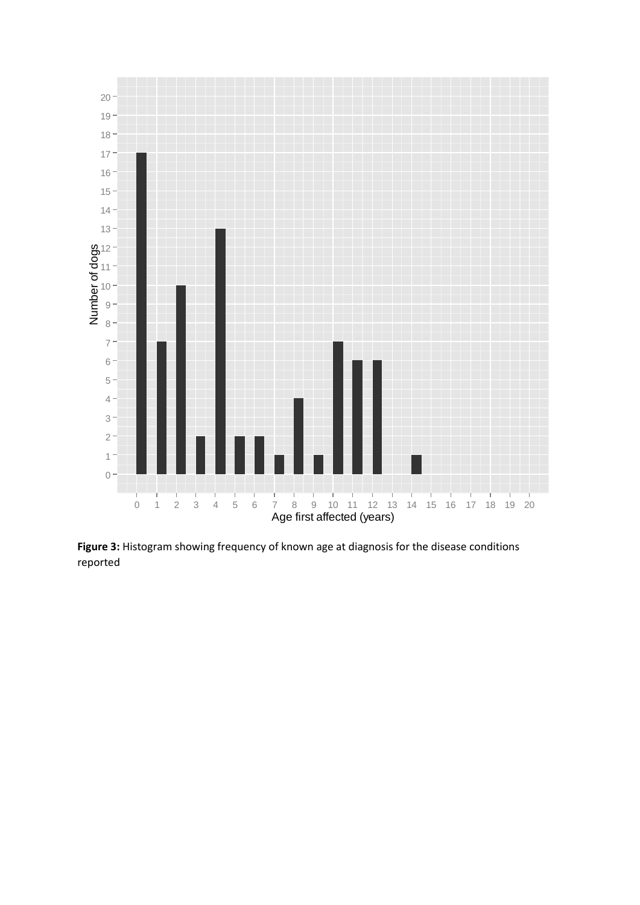

**Figure 3:** Histogram showing frequency of known age at diagnosis for the disease conditions reported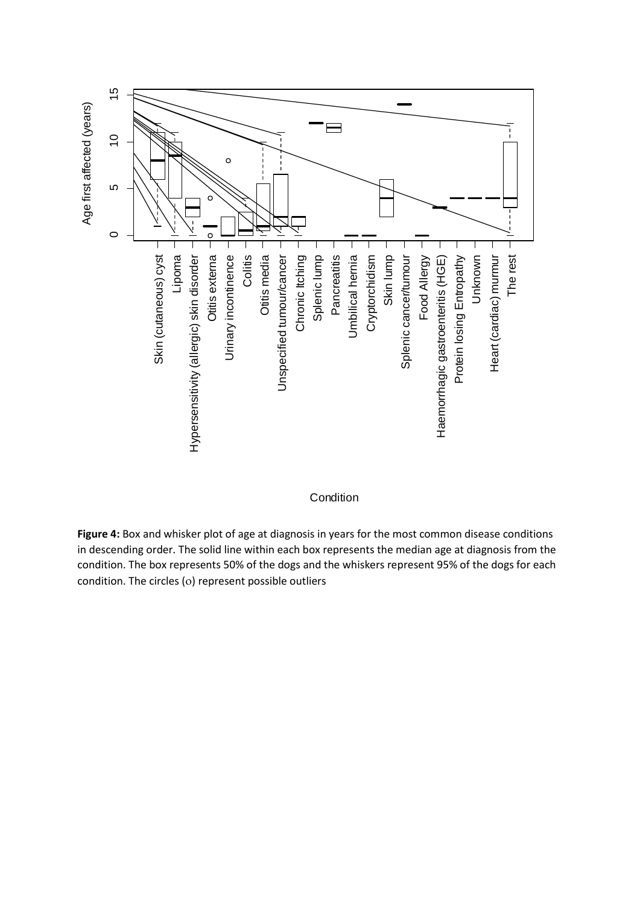

**Condition** 

**Figure 4:** Box and whisker plot of age at diagnosis in years for the most common disease conditions in descending order. The solid line within each box represents the median age at diagnosis from the condition. The box represents 50% of the dogs and the whiskers represent 95% of the dogs for each condition. The circles (o) represent possible outliers